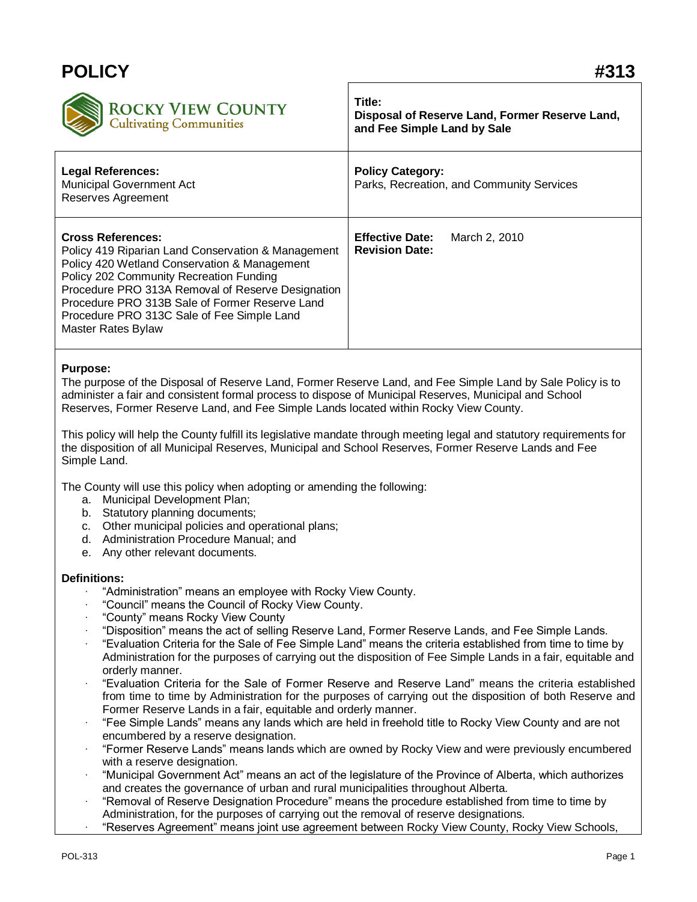# **POLICY #313**



## **Title: Disposal of Reserve Land, Former Reserve Land, and Fee Simple Land by Sale**

| <b>Legal References:</b><br>Municipal Government Act<br>Reserves Agreement                                                                                                                                                                                                                                                                           | <b>Policy Category:</b><br>Parks, Recreation, and Community Services |
|------------------------------------------------------------------------------------------------------------------------------------------------------------------------------------------------------------------------------------------------------------------------------------------------------------------------------------------------------|----------------------------------------------------------------------|
| <b>Cross References:</b><br>Policy 419 Riparian Land Conservation & Management<br>Policy 420 Wetland Conservation & Management<br>Policy 202 Community Recreation Funding<br>Procedure PRO 313A Removal of Reserve Designation<br>Procedure PRO 313B Sale of Former Reserve Land<br>Procedure PRO 313C Sale of Fee Simple Land<br>Master Rates Bylaw | <b>Effective Date:</b><br>March 2, 2010<br><b>Revision Date:</b>     |

#### **Purpose:**

The purpose of the Disposal of Reserve Land, Former Reserve Land, and Fee Simple Land by Sale Policy is to administer a fair and consistent formal process to dispose of Municipal Reserves, Municipal and School Reserves, Former Reserve Land, and Fee Simple Lands located within Rocky View County.

This policy will help the County fulfill its legislative mandate through meeting legal and statutory requirements for the disposition of all Municipal Reserves, Municipal and School Reserves, Former Reserve Lands and Fee Simple Land.

The County will use this policy when adopting or amending the following:

- a. Municipal Development Plan;
- b. Statutory planning documents;
- c. Other municipal policies and operational plans;
- d. Administration Procedure Manual; and
- e. Any other relevant documents.

#### **Definitions:**

- · "Administration" means an employee with Rocky View County.
- · "Council" means the Council of Rocky View County.
- · "County" means Rocky View County
- · "Disposition" means the act of selling Reserve Land, Former Reserve Lands, and Fee Simple Lands.
- · "Evaluation Criteria for the Sale of Fee Simple Land" means the criteria established from time to time by Administration for the purposes of carrying out the disposition of Fee Simple Lands in a fair, equitable and orderly manner.
- · "Evaluation Criteria for the Sale of Former Reserve and Reserve Land" means the criteria established from time to time by Administration for the purposes of carrying out the disposition of both Reserve and Former Reserve Lands in a fair, equitable and orderly manner.
- · "Fee Simple Lands" means any lands which are held in freehold title to Rocky View County and are not encumbered by a reserve designation.
- · "Former Reserve Lands" means lands which are owned by Rocky View and were previously encumbered with a reserve designation.
- · "Municipal Government Act" means an act of the legislature of the Province of Alberta, which authorizes and creates the governance of urban and rural municipalities throughout Alberta.
- · "Removal of Reserve Designation Procedure" means the procedure established from time to time by Administration, for the purposes of carrying out the removal of reserve designations.
	- · "Reserves Agreement" means joint use agreement between Rocky View County, Rocky View Schools,